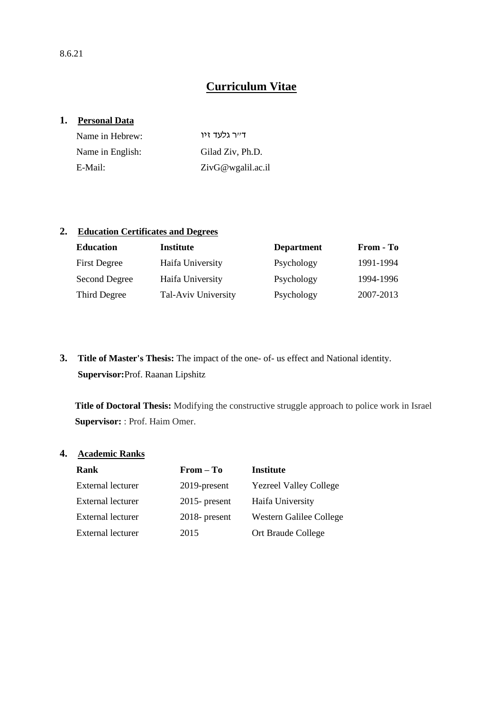# **Curriculum Vitae**

#### **1. Personal Data**

| Name in Hebrew:  | דייר גלעד זיו        |
|------------------|----------------------|
| Name in English: | Gilad Ziv. Ph.D.     |
| E-Mail:          | $ZivG@$ wgalil.ac.il |

### **2. Education Certificates and Degrees**

| <b>Education</b>    | Institute           | <b>Department</b> | From - To |
|---------------------|---------------------|-------------------|-----------|
| <b>First Degree</b> | Haifa University    | Psychology        | 1991-1994 |
| Second Degree       | Haifa University    | Psychology        | 1994-1996 |
| Third Degree        | Tal-Aviv University | Psychology        | 2007-2013 |

**3. Title of Master's Thesis:** The impact of the one- of- us effect and National identity. **Supervisor:**Prof. Raanan Lipshitz

**Title of Doctoral Thesis:** Modifying the constructive struggle approach to police work in Israel **Supervisor:** : Prof. Haim Omer.

## **4. Academic Ranks**

| Rank                     | $From - To$      | <b>Institute</b>              |
|--------------------------|------------------|-------------------------------|
| <b>External lecturer</b> | 2019-present     | <b>Yezreel Valley College</b> |
| External lecturer        | $2015$ - present | Haifa University              |
| <b>External lecturer</b> | $2018$ - present | Western Galilee College       |
| <b>External lecturer</b> | 2015             | Ort Braude College            |
|                          |                  |                               |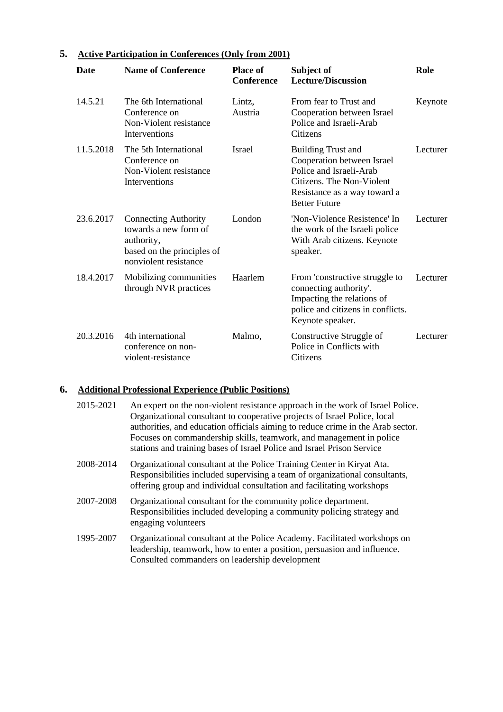| <b>Date</b> | <b>Name of Conference</b>                                                                                                 | <b>Place of</b><br><b>Conference</b> | Subject of<br><b>Lecture/Discussion</b>                                                                                                                                 | Role     |
|-------------|---------------------------------------------------------------------------------------------------------------------------|--------------------------------------|-------------------------------------------------------------------------------------------------------------------------------------------------------------------------|----------|
| 14.5.21     | The 6th International<br>Conference on<br>Non-Violent resistance<br>Interventions                                         | Lintz,<br>Austria                    | From fear to Trust and<br>Cooperation between Israel<br>Police and Israeli-Arab<br>Citizens                                                                             | Keynote  |
| 11.5.2018   | The 5th International<br>Conference on<br>Non-Violent resistance<br>Interventions                                         | Israel                               | <b>Building Trust and</b><br>Cooperation between Israel<br>Police and Israeli-Arab<br>Citizens. The Non-Violent<br>Resistance as a way toward a<br><b>Better Future</b> | Lecturer |
| 23.6.2017   | <b>Connecting Authority</b><br>towards a new form of<br>authority,<br>based on the principles of<br>nonviolent resistance | London                               | 'Non-Violence Resistence' In<br>the work of the Israeli police<br>With Arab citizens. Keynote<br>speaker.                                                               | Lecturer |
| 18.4.2017   | Mobilizing communities<br>through NVR practices                                                                           | Haarlem                              | From 'constructive struggle to<br>connecting authority'.<br>Impacting the relations of<br>police and citizens in conflicts.<br>Keynote speaker.                         | Lecturer |
| 20.3.2016   | 4th international<br>conference on non-<br>violent-resistance                                                             | Malmo,                               | Constructive Struggle of<br>Police in Conflicts with<br>Citizens                                                                                                        | Lecturer |

## **5. Active Participation in Conferences (Only from 2001)**

# **6. Additional Professional Experience (Public Positions)**

| 2015-2021 | An expert on the non-violent resistance approach in the work of Israel Police.<br>Organizational consultant to cooperative projects of Israel Police, local<br>authorities, and education officials aiming to reduce crime in the Arab sector.<br>Focuses on commandership skills, teamwork, and management in police<br>stations and training bases of Israel Police and Israel Prison Service |
|-----------|-------------------------------------------------------------------------------------------------------------------------------------------------------------------------------------------------------------------------------------------------------------------------------------------------------------------------------------------------------------------------------------------------|
| 2008-2014 | Organizational consultant at the Police Training Center in Kiryat Ata.<br>Responsibilities included supervising a team of organizational consultants,<br>offering group and individual consultation and facilitating workshops                                                                                                                                                                  |
| 2007-2008 | Organizational consultant for the community police department.<br>Responsibilities included developing a community policing strategy and<br>engaging volunteers                                                                                                                                                                                                                                 |
| 1995-2007 | Organizational consultant at the Police Academy. Facilitated workshops on<br>leadership, teamwork, how to enter a position, persuasion and influence.<br>Consulted commanders on leadership development                                                                                                                                                                                         |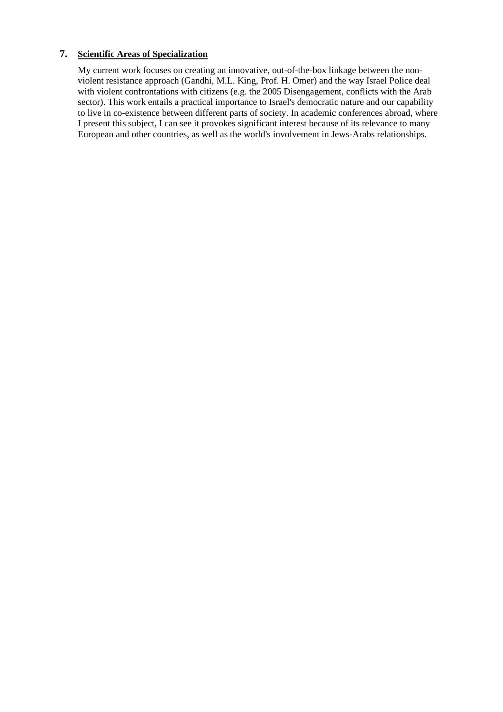### **7. Scientific Areas of Specialization**

My current work focuses on creating an innovative, out-of-the-box linkage between the nonviolent resistance approach (Gandhi, M.L. King, Prof. H. Omer) and the way Israel Police deal with violent confrontations with citizens (e.g. the 2005 Disengagement, conflicts with the Arab sector). This work entails a practical importance to Israel's democratic nature and our capability to live in co-existence between different parts of society. In academic conferences abroad, where I present this subject, I can see it provokes significant interest because of its relevance to many European and other countries, as well as the world's involvement in Jews-Arabs relationships.